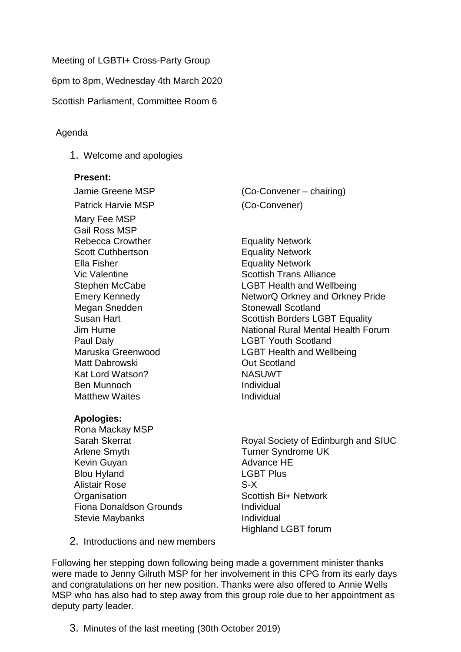Meeting of LGBTI+ Cross-Party Group

6pm to 8pm, Wednesday 4th March 2020

Scottish Parliament, Committee Room 6

## Agenda

1. Welcome and apologies

## **Present:**

Patrick Harvie MSP (Co-Convener) Mary Fee MSP Gail Ross MSP Rebecca Crowther **Equality Network** Scott Cuthbertson Equality Network Ella Fisher **Equality Network** Megan Snedden Stonewall Scotland Paul Daly **Data Communist CLGBT** Youth Scotland Matt Dabrowski Out Scotland Kat Lord Watson? NASUWT Ben Munnoch **Individual** Matthew Waites **Individual** 

## **Apologies:**

Rona Mackay MSP Arlene Smyth Turner Syndrome UK Kevin Guyan **Advance HE** Blou Hyland **LGBT** Plus Alistair Rose S-X **Organisation** Scottish Bi+ Network Fiona Donaldson Grounds **Individual** Stevie Maybanks **Individual** 

Jamie Greene MSP (Co-Convener – chairing)

Vic Valentine **Scottish Trans Alliance** Scottish Trans Alliance Stephen McCabe LGBT Health and Wellbeing Emery Kennedy **NetworQ Orkney and Orkney Pride** Susan Hart **Susan Hart Contract Contract Scottish Borders LGBT Equality** Jim Hume National Rural Mental Health Forum Maruska Greenwood LGBT Health and Wellbeing

Sarah Skerrat **Royal Society of Edinburgh and SIUC** Highland LGBT forum

2. Introductions and new members

Following her stepping down following being made a government minister thanks were made to Jenny Gilruth MSP for her involvement in this CPG from its early days and congratulations on her new position. Thanks were also offered to Annie Wells MSP who has also had to step away from this group role due to her appointment as deputy party leader.

3. Minutes of the last meeting (30th October 2019)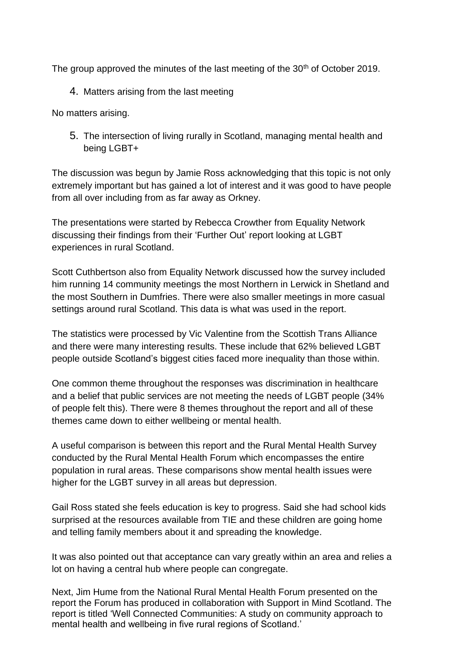The group approved the minutes of the last meeting of the 30<sup>th</sup> of October 2019.

4. Matters arising from the last meeting

No matters arising.

5. The intersection of living rurally in Scotland, managing mental health and being LGBT+

The discussion was begun by Jamie Ross acknowledging that this topic is not only extremely important but has gained a lot of interest and it was good to have people from all over including from as far away as Orkney.

The presentations were started by Rebecca Crowther from Equality Network discussing their findings from their 'Further Out' report looking at LGBT experiences in rural Scotland.

Scott Cuthbertson also from Equality Network discussed how the survey included him running 14 community meetings the most Northern in Lerwick in Shetland and the most Southern in Dumfries. There were also smaller meetings in more casual settings around rural Scotland. This data is what was used in the report.

The statistics were processed by Vic Valentine from the Scottish Trans Alliance and there were many interesting results. These include that 62% believed LGBT people outside Scotland's biggest cities faced more inequality than those within.

One common theme throughout the responses was discrimination in healthcare and a belief that public services are not meeting the needs of LGBT people (34% of people felt this). There were 8 themes throughout the report and all of these themes came down to either wellbeing or mental health.

A useful comparison is between this report and the Rural Mental Health Survey conducted by the Rural Mental Health Forum which encompasses the entire population in rural areas. These comparisons show mental health issues were higher for the LGBT survey in all areas but depression.

Gail Ross stated she feels education is key to progress. Said she had school kids surprised at the resources available from TIE and these children are going home and telling family members about it and spreading the knowledge.

It was also pointed out that acceptance can vary greatly within an area and relies a lot on having a central hub where people can congregate.

Next, Jim Hume from the National Rural Mental Health Forum presented on the report the Forum has produced in collaboration with Support in Mind Scotland. The report is titled 'Well Connected Communities: A study on community approach to mental health and wellbeing in five rural regions of Scotland.'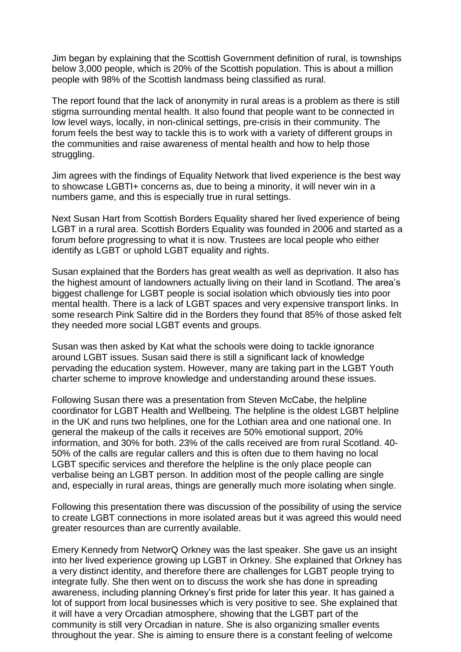Jim began by explaining that the Scottish Government definition of rural, is townships below 3,000 people, which is 20% of the Scottish population. This is about a million people with 98% of the Scottish landmass being classified as rural.

The report found that the lack of anonymity in rural areas is a problem as there is still stigma surrounding mental health. It also found that people want to be connected in low level ways, locally, in non-clinical settings, pre-crisis in their community. The forum feels the best way to tackle this is to work with a variety of different groups in the communities and raise awareness of mental health and how to help those struggling.

Jim agrees with the findings of Equality Network that lived experience is the best way to showcase LGBTI+ concerns as, due to being a minority, it will never win in a numbers game, and this is especially true in rural settings.

Next Susan Hart from Scottish Borders Equality shared her lived experience of being LGBT in a rural area. Scottish Borders Equality was founded in 2006 and started as a forum before progressing to what it is now. Trustees are local people who either identify as LGBT or uphold LGBT equality and rights.

Susan explained that the Borders has great wealth as well as deprivation. It also has the highest amount of landowners actually living on their land in Scotland. The area's biggest challenge for LGBT people is social isolation which obviously ties into poor mental health. There is a lack of LGBT spaces and very expensive transport links. In some research Pink Saltire did in the Borders they found that 85% of those asked felt they needed more social LGBT events and groups.

Susan was then asked by Kat what the schools were doing to tackle ignorance around LGBT issues. Susan said there is still a significant lack of knowledge pervading the education system. However, many are taking part in the LGBT Youth charter scheme to improve knowledge and understanding around these issues.

Following Susan there was a presentation from Steven McCabe, the helpline coordinator for LGBT Health and Wellbeing. The helpline is the oldest LGBT helpline in the UK and runs two helplines, one for the Lothian area and one national one. In general the makeup of the calls it receives are 50% emotional support, 20% information, and 30% for both. 23% of the calls received are from rural Scotland. 40- 50% of the calls are regular callers and this is often due to them having no local LGBT specific services and therefore the helpline is the only place people can verbalise being an LGBT person. In addition most of the people calling are single and, especially in rural areas, things are generally much more isolating when single.

Following this presentation there was discussion of the possibility of using the service to create LGBT connections in more isolated areas but it was agreed this would need greater resources than are currently available.

Emery Kennedy from NetworQ Orkney was the last speaker. She gave us an insight into her lived experience growing up LGBT in Orkney. She explained that Orkney has a very distinct identity, and therefore there are challenges for LGBT people trying to integrate fully. She then went on to discuss the work she has done in spreading awareness, including planning Orkney's first pride for later this year. It has gained a lot of support from local businesses which is very positive to see. She explained that it will have a very Orcadian atmosphere, showing that the LGBT part of the community is still very Orcadian in nature. She is also organizing smaller events throughout the year. She is aiming to ensure there is a constant feeling of welcome